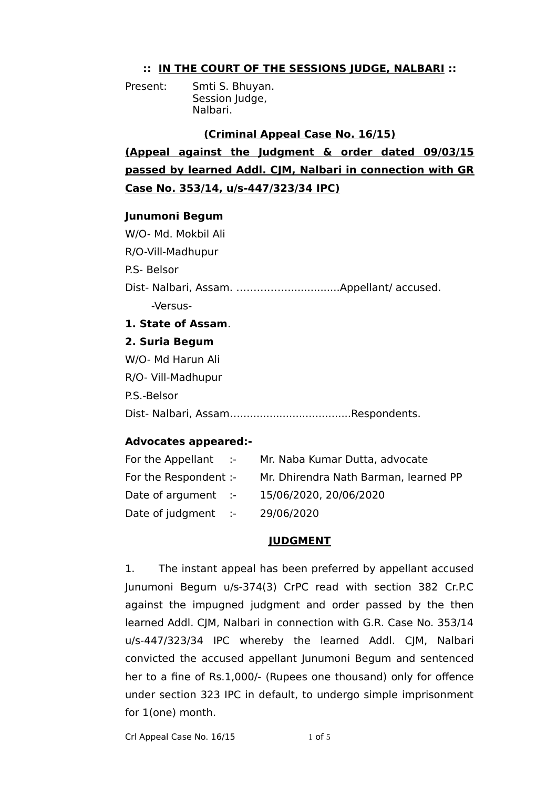## **:: IN THE COURT OF THE SESSIONS JUDGE, NALBARI ::**

Present: Smti S. Bhuyan. Session Judge, Nalbari.

### **(Criminal Appeal Case No. 16/15)**

**(Appeal against the Judgment & order dated 09/03/15 passed by learned Addl. CJM, Nalbari in connection with GR Case No. 353/14, u/s-447/323/34 IPC)**

### **Junumoni Begum**

W/O- Md. Mokbil Ali R/O-Vill-Madhupur P.S- Belsor Dist- Nalbari, Assam. ……………................Appellant/ accused. -Versus-

# **1. State of Assam**.

#### **2. Suria Begum**

W/O- Md Harun Ali R/O- Vill-Madhupur P.S.-Belsor Dist- Nalbari, Assam…..................................Respondents.

### **Advocates appeared:-**

| For the Appellant :-     | Mr. Naba Kumar Dutta, advocate        |
|--------------------------|---------------------------------------|
| For the Respondent :-    | Mr. Dhirendra Nath Barman, learned PP |
| Date of argument :-      | 15/06/2020, 20/06/2020                |
| Date of judgment $\cdot$ | 29/06/2020                            |

### **JUDGMENT**

1. The instant appeal has been preferred by appellant accused Junumoni Begum u/s-374(3) CrPC read with section 382 Cr.P.C against the impugned judgment and order passed by the then learned Addl. CJM, Nalbari in connection with G.R. Case No. 353/14 u/s-447/323/34 IPC whereby the learned Addl. CIM, Nalbari convicted the accused appellant Junumoni Begum and sentenced her to a fine of Rs.1,000/- (Rupees one thousand) only for offence under section 323 IPC in default, to undergo simple imprisonment for 1(one) month.

Crl Appeal Case No. 16/15 1 of 5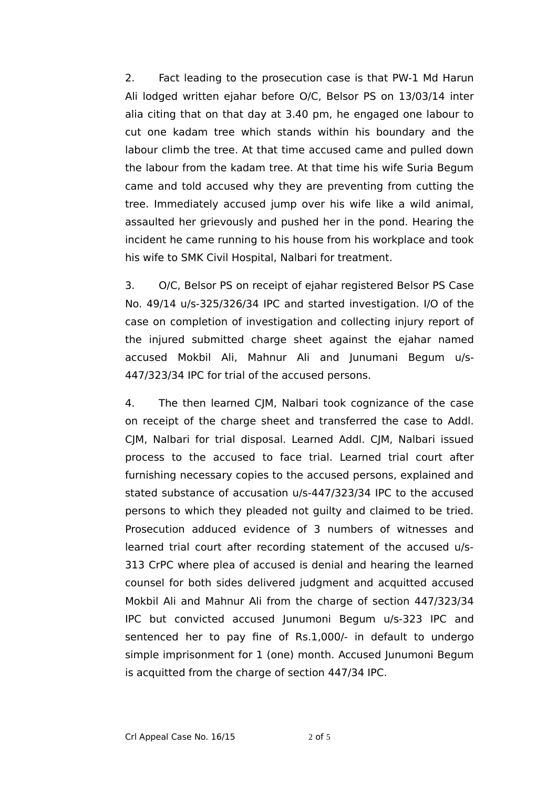2. Fact leading to the prosecution case is that PW-1 Md Harun Ali lodged written ejahar before O/C, Belsor PS on 13/03/14 inter alia citing that on that day at 3.40 pm, he engaged one labour to cut one kadam tree which stands within his boundary and the labour climb the tree. At that time accused came and pulled down the labour from the kadam tree. At that time his wife Suria Begum came and told accused why they are preventing from cutting the tree. Immediately accused jump over his wife like a wild animal, assaulted her grievously and pushed her in the pond. Hearing the incident he came running to his house from his workplace and took his wife to SMK Civil Hospital, Nalbari for treatment.

3. O/C, Belsor PS on receipt of ejahar registered Belsor PS Case No. 49/14 u/s-325/326/34 IPC and started investigation. I/O of the case on completion of investigation and collecting injury report of the injured submitted charge sheet against the ejahar named accused Mokbil Ali, Mahnur Ali and Junumani Begum u/s-447/323/34 IPC for trial of the accused persons.

4. The then learned CJM, Nalbari took cognizance of the case on receipt of the charge sheet and transferred the case to Addl. CJM, Nalbari for trial disposal. Learned Addl. CJM, Nalbari issued process to the accused to face trial. Learned trial court after furnishing necessary copies to the accused persons, explained and stated substance of accusation u/s-447/323/34 IPC to the accused persons to which they pleaded not guilty and claimed to be tried. Prosecution adduced evidence of 3 numbers of witnesses and learned trial court after recording statement of the accused u/s-313 CrPC where plea of accused is denial and hearing the learned counsel for both sides delivered judgment and acquitted accused Mokbil Ali and Mahnur Ali from the charge of section 447/323/34 IPC but convicted accused Junumoni Begum u/s-323 IPC and sentenced her to pay fine of Rs.1,000/- in default to undergo simple imprisonment for 1 (one) month. Accused Junumoni Begum is acquitted from the charge of section 447/34 IPC.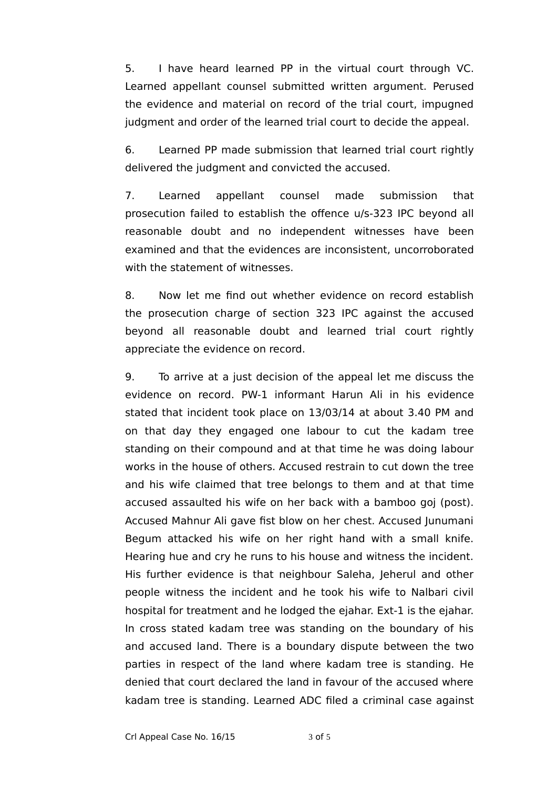5. I have heard learned PP in the virtual court through VC. Learned appellant counsel submitted written argument. Perused the evidence and material on record of the trial court, impugned judgment and order of the learned trial court to decide the appeal.

6. Learned PP made submission that learned trial court rightly delivered the judgment and convicted the accused.

7. Learned appellant counsel made submission that prosecution failed to establish the offence u/s-323 IPC beyond all reasonable doubt and no independent witnesses have been examined and that the evidences are inconsistent, uncorroborated with the statement of witnesses.

8. Now let me find out whether evidence on record establish the prosecution charge of section 323 IPC against the accused beyond all reasonable doubt and learned trial court rightly appreciate the evidence on record.

9. To arrive at a just decision of the appeal let me discuss the evidence on record. PW-1 informant Harun Ali in his evidence stated that incident took place on 13/03/14 at about 3.40 PM and on that day they engaged one labour to cut the kadam tree standing on their compound and at that time he was doing labour works in the house of others. Accused restrain to cut down the tree and his wife claimed that tree belongs to them and at that time accused assaulted his wife on her back with a bamboo goj (post). Accused Mahnur Ali gave fist blow on her chest. Accused Junumani Begum attacked his wife on her right hand with a small knife. Hearing hue and cry he runs to his house and witness the incident. His further evidence is that neighbour Saleha, Jeherul and other people witness the incident and he took his wife to Nalbari civil hospital for treatment and he lodged the ejahar. Ext-1 is the ejahar. In cross stated kadam tree was standing on the boundary of his and accused land. There is a boundary dispute between the two parties in respect of the land where kadam tree is standing. He denied that court declared the land in favour of the accused where kadam tree is standing. Learned ADC filed a criminal case against

Crl Appeal Case No. 16/15 3 of 5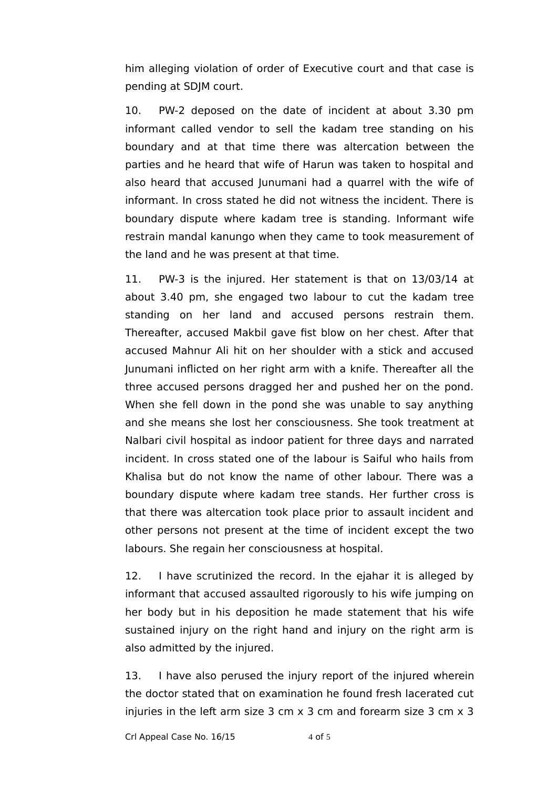him alleging violation of order of Executive court and that case is pending at SDJM court.

10. PW-2 deposed on the date of incident at about 3.30 pm informant called vendor to sell the kadam tree standing on his boundary and at that time there was altercation between the parties and he heard that wife of Harun was taken to hospital and also heard that accused Junumani had a quarrel with the wife of informant. In cross stated he did not witness the incident. There is boundary dispute where kadam tree is standing. Informant wife restrain mandal kanungo when they came to took measurement of the land and he was present at that time.

11. PW-3 is the injured. Her statement is that on 13/03/14 at about 3.40 pm, she engaged two labour to cut the kadam tree standing on her land and accused persons restrain them. Thereafter, accused Makbil gave fist blow on her chest. After that accused Mahnur Ali hit on her shoulder with a stick and accused Junumani inflicted on her right arm with a knife. Thereafter all the three accused persons dragged her and pushed her on the pond. When she fell down in the pond she was unable to say anything and she means she lost her consciousness. She took treatment at Nalbari civil hospital as indoor patient for three days and narrated incident. In cross stated one of the labour is Saiful who hails from Khalisa but do not know the name of other labour. There was a boundary dispute where kadam tree stands. Her further cross is that there was altercation took place prior to assault incident and other persons not present at the time of incident except the two labours. She regain her consciousness at hospital.

12. I have scrutinized the record. In the ejahar it is alleged by informant that accused assaulted rigorously to his wife jumping on her body but in his deposition he made statement that his wife sustained injury on the right hand and injury on the right arm is also admitted by the injured.

13. I have also perused the injury report of the injured wherein the doctor stated that on examination he found fresh lacerated cut injuries in the left arm size 3 cm x 3 cm and forearm size 3 cm x 3